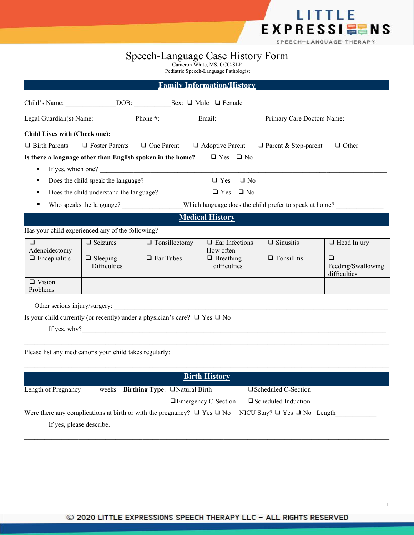

# Speech-Language Case History Form

Cameron White, MS, CCC-SLP

Pediatric Speech-Language Pathologist

|                                      |                                                  |                                                            | <b>Family Information/History</b>          |                                                                    |                                              |
|--------------------------------------|--------------------------------------------------|------------------------------------------------------------|--------------------------------------------|--------------------------------------------------------------------|----------------------------------------------|
|                                      |                                                  | Child's Name: DOB: Sex: D Male D Female                    |                                            |                                                                    |                                              |
|                                      |                                                  |                                                            |                                            | Legal Guardian(s) Name: Phone #: Email: Primary Care Doctors Name: |                                              |
| <b>Child Lives with (Check one):</b> |                                                  |                                                            |                                            |                                                                    |                                              |
| $\Box$ Birth Parents                 | □ Foster Parents                                 | $\Box$ One Parent                                          |                                            | $\Box$ Adoptive Parent $\Box$ Parent & Step-parent                 | $\Box$ Other                                 |
| $\blacksquare$                       |                                                  | Is there a language other than English spoken in the home? | $\Box$ Yes $\Box$ No<br>If yes, which one? |                                                                    |                                              |
|                                      | Does the child speak the language?               |                                                            | $\Box$ No<br>$\Box$ Yes                    |                                                                    |                                              |
| ٠                                    | Does the child understand the language?          |                                                            | $\Box$ Yes $\Box$ No                       |                                                                    |                                              |
| ٠                                    | Who speaks the language?                         |                                                            |                                            | Which language does the child prefer to speak at home?             |                                              |
|                                      |                                                  |                                                            | <b>Medical History</b>                     |                                                                    |                                              |
|                                      | Has your child experienced any of the following? |                                                            |                                            |                                                                    |                                              |
| $\Box$<br>Adenoidectomy              | □ Seizures                                       | $\Box$ Tonsillectomy                                       | $\Box$ Ear Infections<br>How often         | $\Box$ Sinusitis                                                   | $\Box$ Head Injury                           |
| $\Box$ Encephalitis                  | $\Box$ Sleeping<br><b>Difficulties</b>           | □ Ear Tubes                                                | $\Box$ Breathing<br>difficulties           | $\Box$ Tonsillitis                                                 | $\Box$<br>Feeding/Swallowing<br>difficulties |
| $\Box$ Vision<br>Problems            |                                                  |                                                            |                                            |                                                                    |                                              |
| Other serious injury/surgery:        |                                                  |                                                            |                                            |                                                                    |                                              |

Is your child currently (or recently) under a physician's care? ❑ Yes ❑ No

If yes, why?

Please list any medications your child takes regularly:

| <b>Birth History</b>                                                                                                     |                            |
|--------------------------------------------------------------------------------------------------------------------------|----------------------------|
| weeks Birthing Type: $\Box$ Natural Birth<br>Length of Pregnancy                                                         | $\Box$ Scheduled C-Section |
| □ Emergency C-Section                                                                                                    | □ Scheduled Induction      |
| Were there any complications at birth or with the pregnancy? $\Box$ Yes $\Box$ No NICU Stay? $\Box$ Yes $\Box$ No Length |                            |
| If yes, please describe.                                                                                                 |                            |

 $\mathcal{L}_\mathcal{L} = \mathcal{L}_\mathcal{L} = \mathcal{L}_\mathcal{L} = \mathcal{L}_\mathcal{L} = \mathcal{L}_\mathcal{L} = \mathcal{L}_\mathcal{L} = \mathcal{L}_\mathcal{L} = \mathcal{L}_\mathcal{L} = \mathcal{L}_\mathcal{L} = \mathcal{L}_\mathcal{L} = \mathcal{L}_\mathcal{L} = \mathcal{L}_\mathcal{L} = \mathcal{L}_\mathcal{L} = \mathcal{L}_\mathcal{L} = \mathcal{L}_\mathcal{L} = \mathcal{L}_\mathcal{L} = \mathcal{L}_\mathcal{L}$ 

 $\mathcal{L}_\mathcal{L} = \mathcal{L}_\mathcal{L} = \mathcal{L}_\mathcal{L} = \mathcal{L}_\mathcal{L} = \mathcal{L}_\mathcal{L} = \mathcal{L}_\mathcal{L} = \mathcal{L}_\mathcal{L} = \mathcal{L}_\mathcal{L} = \mathcal{L}_\mathcal{L} = \mathcal{L}_\mathcal{L} = \mathcal{L}_\mathcal{L} = \mathcal{L}_\mathcal{L} = \mathcal{L}_\mathcal{L} = \mathcal{L}_\mathcal{L} = \mathcal{L}_\mathcal{L} = \mathcal{L}_\mathcal{L} = \mathcal{L}_\mathcal{L}$ 

 $\mathcal{L}_\mathcal{L} = \mathcal{L}_\mathcal{L} = \mathcal{L}_\mathcal{L} = \mathcal{L}_\mathcal{L} = \mathcal{L}_\mathcal{L} = \mathcal{L}_\mathcal{L} = \mathcal{L}_\mathcal{L} = \mathcal{L}_\mathcal{L} = \mathcal{L}_\mathcal{L} = \mathcal{L}_\mathcal{L} = \mathcal{L}_\mathcal{L} = \mathcal{L}_\mathcal{L} = \mathcal{L}_\mathcal{L} = \mathcal{L}_\mathcal{L} = \mathcal{L}_\mathcal{L} = \mathcal{L}_\mathcal{L} = \mathcal{L}_\mathcal{L}$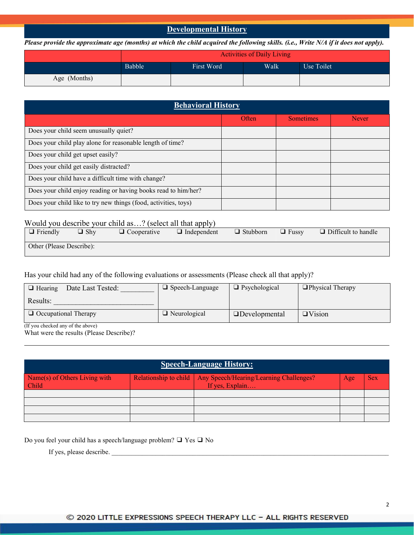### **Developmental History**

Please provide the approximate age (months) at which the child acquired the following skills. (i.e., Write N/A if it does not apply).

|              | <b>Activities of Daily Living</b> |            |      |            |
|--------------|-----------------------------------|------------|------|------------|
|              | Babble                            | First Word | Walk | Use Toilet |
| Age (Months) |                                   |            |      |            |

| <b>Behavioral History</b>                                       |       |                  |              |  |
|-----------------------------------------------------------------|-------|------------------|--------------|--|
|                                                                 | Often | <b>Sometimes</b> | <b>Never</b> |  |
| Does your child seem unusually quiet?                           |       |                  |              |  |
| Does your child play alone for reasonable length of time?       |       |                  |              |  |
| Does your child get upset easily?                               |       |                  |              |  |
| Does your child get easily distracted?                          |       |                  |              |  |
| Does your child have a difficult time with change?              |       |                  |              |  |
| Does your child enjoy reading or having books read to him/her?  |       |                  |              |  |
| Does your child like to try new things (food, activities, toys) |       |                  |              |  |

## Would you describe your child as…? (select all that apply)

| $\Box$ Friendly          | $\Box$ Shy | $\Box$ $\cap$<br>$\Box$ Cooperative | .<br>$\Box$ Independent | $\Box$ Stubborn | $\Box$ Fussy | $\Box$ Difficult to handle |
|--------------------------|------------|-------------------------------------|-------------------------|-----------------|--------------|----------------------------|
| Other (Please Describe): |            |                                     |                         |                 |              |                            |

Has your child had any of the following evaluations or assessments (Please check all that apply)?

| Date Last Tested:<br>$\Box$ Hearing | $\Box$ Speech-Language | $\Box$ Psychological | $\Box$ Physical Therapy |
|-------------------------------------|------------------------|----------------------|-------------------------|
| Results:                            |                        |                      |                         |
| $\Box$ Occupational Therapy         | $\Box$ Neurological    | $\Box$ Developmental | $\Box$ Vision           |

(If you checked any of the above)

What were the results (Please Describe)?

| <b>Speech-Language History:</b>        |  |                                                                                    |     |            |
|----------------------------------------|--|------------------------------------------------------------------------------------|-----|------------|
| Name(s) of Others Living with<br>Child |  | Relationship to child   Any Speech/Hearing/Learning Challenges?<br>If yes, Explain | Age | <b>Sex</b> |
|                                        |  |                                                                                    |     |            |
|                                        |  |                                                                                    |     |            |
|                                        |  |                                                                                    |     |            |

Do you feel your child has a speech/language problem?  $\Box$  Yes  $\Box$  No

If yes, please describe.